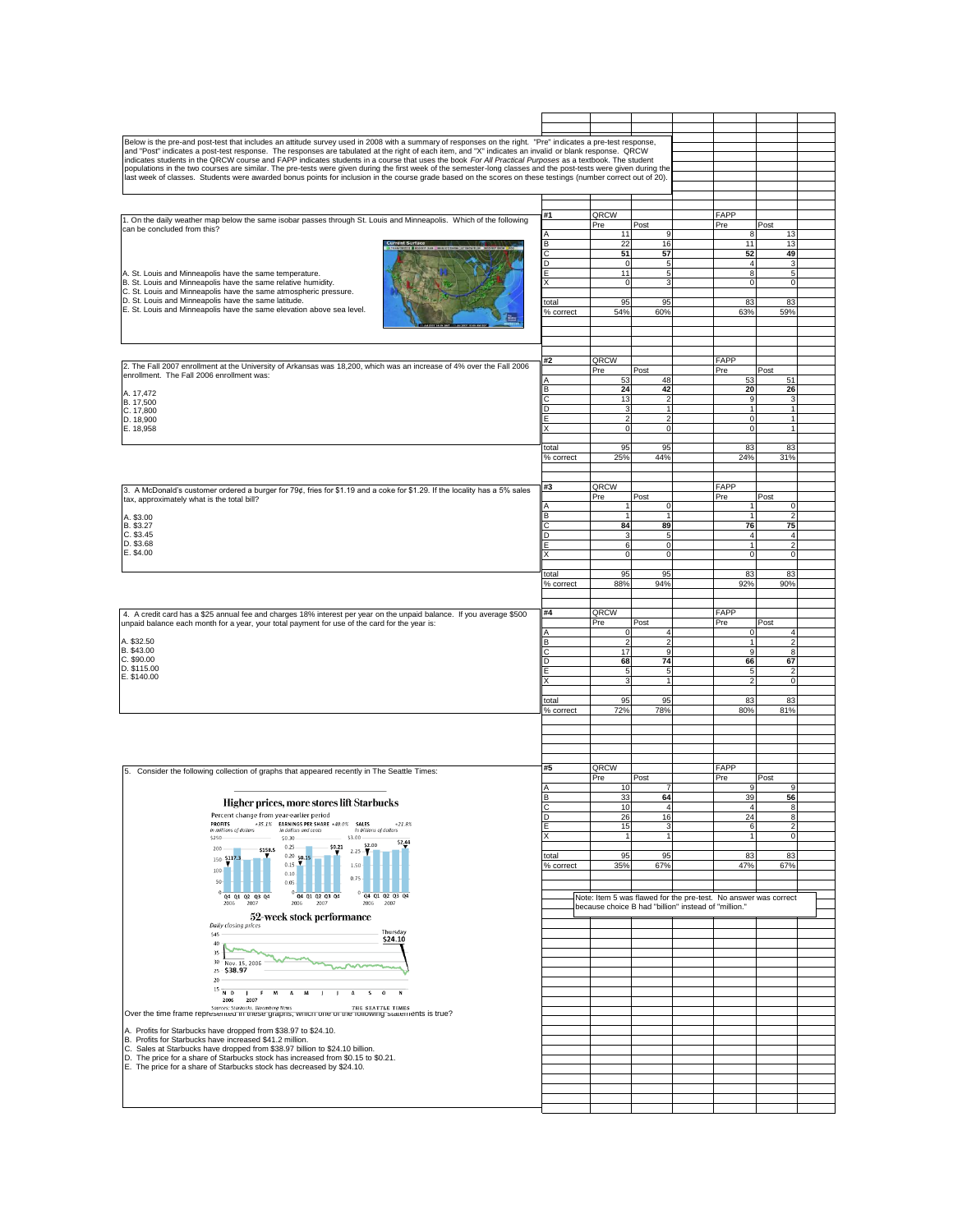| Below is the pre-and post-test that includes an attitude survey used in 2008 with a summary of responses on the right. "Pre" indicates a pre-test response,                                                                                                                                                                      |                    |                                                      |                              |                                  |                                                                 |  |
|----------------------------------------------------------------------------------------------------------------------------------------------------------------------------------------------------------------------------------------------------------------------------------------------------------------------------------|--------------------|------------------------------------------------------|------------------------------|----------------------------------|-----------------------------------------------------------------|--|
| and "Post" indicates a post-test response. The responses are tabulated at the right of each item, and "X" indicates an invalid or blank response. QRCW                                                                                                                                                                           |                    |                                                      |                              |                                  |                                                                 |  |
| indicates students in the QRCW course and FAPP indicates students in a course that uses the book For All Practical Purposes as a textbook. The student                                                                                                                                                                           |                    |                                                      |                              |                                  |                                                                 |  |
| populations in the two courses are similar. The pre-tests were given during the first week of the semester-long classes and the post-tests were given during the<br>last week of classes. Students were awarded bonus points for inclusion in the course grade based on the scores on these testings (number correct out of 20). |                    |                                                      |                              |                                  |                                                                 |  |
|                                                                                                                                                                                                                                                                                                                                  |                    |                                                      |                              |                                  |                                                                 |  |
|                                                                                                                                                                                                                                                                                                                                  |                    |                                                      |                              |                                  |                                                                 |  |
|                                                                                                                                                                                                                                                                                                                                  | #1                 | QRCW                                                 |                              | FAPP                             |                                                                 |  |
| 1. On the daily weather map below the same isobar passes through St. Louis and Minneapolis. Which of the following                                                                                                                                                                                                               |                    | Pre                                                  | Post                         | Pre                              | Post                                                            |  |
| can be concluded from this?                                                                                                                                                                                                                                                                                                      |                    | 11                                                   | 9                            | 8                                | 13                                                              |  |
|                                                                                                                                                                                                                                                                                                                                  | B                  | 22                                                   | 16                           | 11                               | 13                                                              |  |
|                                                                                                                                                                                                                                                                                                                                  |                    | 51                                                   | 57                           | 52                               | 49                                                              |  |
| A. St. Louis and Minneapolis have the same temperature.                                                                                                                                                                                                                                                                          | D                  | $\mathbf 0$<br>11                                    | $\overline{5}$<br>5          | $\overline{4}$<br>8              | $\mathbf{3}$<br>$\overline{5}$                                  |  |
| B. St. Louis and Minneapolis have the same relative humidity.                                                                                                                                                                                                                                                                    |                    | $\mathbf 0$                                          | 3                            | $\overline{0}$                   | $\mathbf 0$                                                     |  |
| C. St. Louis and Minneapolis have the same atmospheric pressure.                                                                                                                                                                                                                                                                 |                    |                                                      |                              |                                  |                                                                 |  |
| D. St. Louis and Minneapolis have the same latitude.<br>E. St. Louis and Minneapolis have the same elevation above sea level.                                                                                                                                                                                                    | total              | 95                                                   | 95                           | 83                               | 83                                                              |  |
|                                                                                                                                                                                                                                                                                                                                  | % correct          | 54%                                                  | 60%                          | 63%                              | 59%                                                             |  |
|                                                                                                                                                                                                                                                                                                                                  |                    |                                                      |                              |                                  |                                                                 |  |
|                                                                                                                                                                                                                                                                                                                                  |                    |                                                      |                              |                                  |                                                                 |  |
|                                                                                                                                                                                                                                                                                                                                  |                    |                                                      |                              |                                  |                                                                 |  |
| 2. The Fall 2007 enrollment at the University of Arkansas was 18,200, which was an increase of 4% over the Fall 2006                                                                                                                                                                                                             | #2                 | QRCW                                                 |                              | <b>FAPP</b>                      |                                                                 |  |
| enrollment. The Fall 2006 enrollment was:                                                                                                                                                                                                                                                                                        |                    | Pre                                                  | Post                         | Pre                              | Post                                                            |  |
|                                                                                                                                                                                                                                                                                                                                  | B                  | 53<br>24                                             | 48<br>42                     | 53<br>20                         | 51<br>26                                                        |  |
| A. 17,472<br>B. 17,500                                                                                                                                                                                                                                                                                                           |                    | 13                                                   | $\overline{\mathbf{c}}$      | 9                                | 3                                                               |  |
| C. 17,800                                                                                                                                                                                                                                                                                                                        | D                  | 3                                                    | $\overline{1}$               | $\mathbf{1}$                     | $\mathbf{1}$                                                    |  |
| D. 18,900                                                                                                                                                                                                                                                                                                                        |                    | $\overline{2}$                                       | $\overline{2}$               | $\mathbf 0$                      | $\mathbf{1}$                                                    |  |
| E. 18,958                                                                                                                                                                                                                                                                                                                        |                    | $\mathbf 0$                                          | $\mathbf 0$                  | $\mathbf{0}$                     | $\mathbf{1}$                                                    |  |
|                                                                                                                                                                                                                                                                                                                                  | total              | 95                                                   | 95                           | 83                               | 83                                                              |  |
|                                                                                                                                                                                                                                                                                                                                  | % correct          | 25%                                                  | 44%                          | 24%                              | 31%                                                             |  |
|                                                                                                                                                                                                                                                                                                                                  |                    |                                                      |                              |                                  |                                                                 |  |
|                                                                                                                                                                                                                                                                                                                                  | #3                 | QRCW                                                 |                              | FAPP                             |                                                                 |  |
| 3. A McDonald's customer ordered a burger for 79¢, fries for \$1.19 and a coke for \$1.29. If the locality has a 5% sales<br>tax, approximately what is the total bill?                                                                                                                                                          |                    | Pre                                                  | Post                         | Pre                              | Post                                                            |  |
|                                                                                                                                                                                                                                                                                                                                  | $\overline{A}$     |                                                      | $\mathbf 0$                  |                                  | $\mathbf 0$                                                     |  |
| A. \$3.00                                                                                                                                                                                                                                                                                                                        | B                  | $\overline{1}$                                       |                              |                                  | $\overline{2}$                                                  |  |
| B. \$3.27<br>C. \$3.45                                                                                                                                                                                                                                                                                                           | D                  | 84<br>3                                              | 89<br>5                      | 76<br>$\overline{4}$             | 75<br>$\overline{4}$                                            |  |
| D. \$3.68                                                                                                                                                                                                                                                                                                                        |                    | 6                                                    | 0                            | 1                                | $\overline{2}$                                                  |  |
| E. \$4.00                                                                                                                                                                                                                                                                                                                        |                    | $\mathbf 0$                                          | $\mathbf 0$                  | $\mathbf{0}$                     | $\mathbf 0$                                                     |  |
|                                                                                                                                                                                                                                                                                                                                  |                    |                                                      |                              |                                  |                                                                 |  |
|                                                                                                                                                                                                                                                                                                                                  | total<br>% correct | 95<br>88%                                            | 95<br>94%                    | 83<br>92%                        | 83<br>90%                                                       |  |
|                                                                                                                                                                                                                                                                                                                                  |                    |                                                      |                              |                                  |                                                                 |  |
|                                                                                                                                                                                                                                                                                                                                  |                    |                                                      |                              |                                  |                                                                 |  |
|                                                                                                                                                                                                                                                                                                                                  |                    |                                                      |                              |                                  |                                                                 |  |
| 4. A credit card has a \$25 annual fee and charges 18% interest per year on the unpaid balance. If you average \$500                                                                                                                                                                                                             | #4                 | QRCW                                                 |                              | FAPP                             |                                                                 |  |
| unpaid balance each month for a year, your total payment for use of the card for the year is:                                                                                                                                                                                                                                    |                    | Pre                                                  | Post                         | Pre                              | Post                                                            |  |
| A. \$32.50                                                                                                                                                                                                                                                                                                                       | А                  | 0                                                    | 4                            | $\mathbf 0$                      | $\overline{4}$                                                  |  |
| B. \$43.00                                                                                                                                                                                                                                                                                                                       | В<br>С             | $\overline{2}$<br>17                                 | $\overline{\mathbf{c}}$<br>9 | 9                                | $\overline{2}$<br>8                                             |  |
| C. \$90.00                                                                                                                                                                                                                                                                                                                       | D                  | 68                                                   | 74                           | 66                               | 67                                                              |  |
| D. \$115.00                                                                                                                                                                                                                                                                                                                      | F                  | 5                                                    | 5                            | 5                                | $\overline{2}$                                                  |  |
| E. \$140.00                                                                                                                                                                                                                                                                                                                      |                    | 3                                                    | $\mathbf{1}$                 | $\mathcal{P}$                    | $\mathbf 0$                                                     |  |
|                                                                                                                                                                                                                                                                                                                                  | total              | 95                                                   | 95                           | 83                               | 83                                                              |  |
|                                                                                                                                                                                                                                                                                                                                  | % correct          | 72%                                                  | 78%                          | 80%                              | 81%                                                             |  |
|                                                                                                                                                                                                                                                                                                                                  |                    |                                                      |                              |                                  |                                                                 |  |
|                                                                                                                                                                                                                                                                                                                                  |                    |                                                      |                              |                                  |                                                                 |  |
|                                                                                                                                                                                                                                                                                                                                  |                    |                                                      |                              |                                  |                                                                 |  |
|                                                                                                                                                                                                                                                                                                                                  |                    |                                                      |                              |                                  |                                                                 |  |
| 5. Consider the following collection of graphs that appeared recently in The Seattle Times:                                                                                                                                                                                                                                      | #5                 | QRCW                                                 |                              | FAPP                             |                                                                 |  |
|                                                                                                                                                                                                                                                                                                                                  |                    | Pre<br>10                                            | Post<br>7                    | Pre<br>9                         | Post<br>9                                                       |  |
|                                                                                                                                                                                                                                                                                                                                  |                    | 33                                                   | 64                           | 39                               | 56                                                              |  |
| Higher prices, more stores lift Starbucks                                                                                                                                                                                                                                                                                        |                    | 10 <sup>10</sup>                                     |                              | $\Delta$                         | $\mathbf{R}$                                                    |  |
| Percent change from year-earlier period<br>$+35.1\%$ EARNINGS PER SHARE $+40.0\%$ SALES<br><b>PROFITS</b><br>$+21.8%$                                                                                                                                                                                                            | D                  | 26                                                   | 16                           | 24                               | 8<br>ν                                                          |  |
| In millions of dollars<br>In dollars and cents<br>In billions of dollars<br>\$3.00<br>\$250<br>50.30                                                                                                                                                                                                                             |                    | 15<br>$\overline{1}$                                 | 3<br>$\overline{1}$          | $\overline{6}$<br>$\overline{1}$ | $\mathbf 0$                                                     |  |
| \$2.44<br>\$2.00<br>0.25<br>\$0.21<br>200<br>\$158.5                                                                                                                                                                                                                                                                             |                    |                                                      |                              |                                  |                                                                 |  |
| $2.25 -$<br>$0.20 - 50.15$<br>150 \$117.3                                                                                                                                                                                                                                                                                        | total              | 95                                                   | 95                           | 83                               | 83                                                              |  |
| 0.15<br>1.50<br>100<br>0.10                                                                                                                                                                                                                                                                                                      | % correct          | 35%                                                  | 67%                          | 47%                              | 67%                                                             |  |
| 0.75<br>50<br>0.05.                                                                                                                                                                                                                                                                                                              |                    |                                                      |                              |                                  |                                                                 |  |
| 0 04 01 02 03 04<br>Q4 Q1 Q2 Q3 Q4                                                                                                                                                                                                                                                                                               |                    |                                                      |                              |                                  | Note: Item 5 was flawed for the pre-test. No answer was correct |  |
| 0 04 01 02 03 04<br>2007<br>2006<br>2006<br>2007<br>2006<br>2007                                                                                                                                                                                                                                                                 |                    | because choice B had "billion" instead of "million." |                              |                                  |                                                                 |  |
| 52-week stock performance                                                                                                                                                                                                                                                                                                        |                    |                                                      |                              |                                  |                                                                 |  |
| Daily closing prices<br>Thursday<br>\$45                                                                                                                                                                                                                                                                                         |                    |                                                      |                              |                                  |                                                                 |  |
| \$24.10<br>40                                                                                                                                                                                                                                                                                                                    |                    |                                                      |                              |                                  |                                                                 |  |
| 35<br>30                                                                                                                                                                                                                                                                                                                         |                    |                                                      |                              |                                  |                                                                 |  |
| Nov. 15, 2006<br>25 - \$38.97                                                                                                                                                                                                                                                                                                    |                    |                                                      |                              |                                  |                                                                 |  |
| $20\,$                                                                                                                                                                                                                                                                                                                           |                    |                                                      |                              |                                  |                                                                 |  |
| $^{15}$ $\overline{$ N $\,$ D<br>м<br>$\mathbf{A}$<br>M<br>п.<br>- 6<br>$\mathbf{A}$<br>-S<br>$\mathbf{o}$<br>N                                                                                                                                                                                                                  |                    |                                                      |                              |                                  |                                                                 |  |
| 2006<br>2007<br>Sources: Starbucks, Bloomberg News<br>THE SEATTLE TIMES                                                                                                                                                                                                                                                          |                    |                                                      |                              |                                  |                                                                 |  |
| Over the time frame represented in these graphs, which one or the rollowing statements is true?                                                                                                                                                                                                                                  |                    |                                                      |                              |                                  |                                                                 |  |
| A. Profits for Starbucks have dropped from \$38.97 to \$24.10.                                                                                                                                                                                                                                                                   |                    |                                                      |                              |                                  |                                                                 |  |
| B. Profits for Starbucks have increased \$41.2 million.                                                                                                                                                                                                                                                                          |                    |                                                      |                              |                                  |                                                                 |  |
| C. Sales at Starbucks have dropped from \$38.97 billion to \$24.10 billion.                                                                                                                                                                                                                                                      |                    |                                                      |                              |                                  |                                                                 |  |
| D. The price for a share of Starbucks stock has increased from \$0.15 to \$0.21.<br>E. The price for a share of Starbucks stock has decreased by \$24.10.                                                                                                                                                                        |                    |                                                      |                              |                                  |                                                                 |  |
|                                                                                                                                                                                                                                                                                                                                  |                    |                                                      |                              |                                  |                                                                 |  |
|                                                                                                                                                                                                                                                                                                                                  |                    |                                                      |                              |                                  |                                                                 |  |
|                                                                                                                                                                                                                                                                                                                                  |                    |                                                      |                              |                                  |                                                                 |  |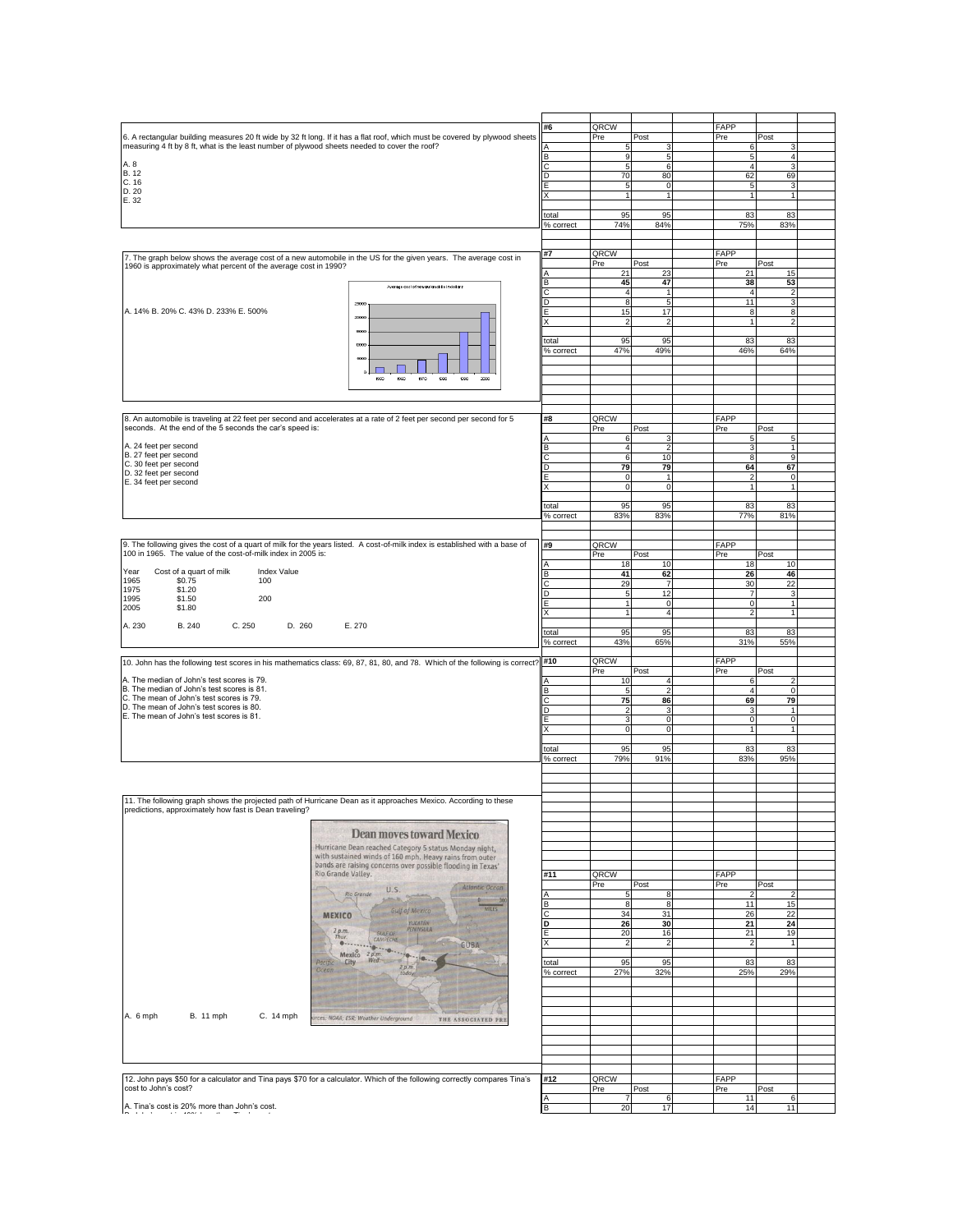| 6. A rectangular building measures 20 ft wide by 32 ft long. If it has a flat roof, which must be covered by plywood sheets<br>measuring 4 ft by 8 ft, what is the least number of plywood sheets needed to cover the roof?<br>A. 8<br><b>B.12</b><br>C.16<br>D. 20<br>E. 32<br>7. The graph below shows the average cost of a new automobile in the US for the given years. The average cost in | #6<br>С<br>D<br>E<br>X<br>total<br>% correct | QRCW<br>Pre<br>5<br>$\boldsymbol{9}$<br>5<br>70<br>$\overline{5}$<br>$\mathbf{1}$<br>95 | Post<br>з<br>5<br>6<br>80<br>$\mathsf{O}$<br>$\mathbf{1}$ | FAPP<br>Pre | Post<br>6<br>5 <sub>l</sub>        | 3<br>$\sqrt{4}$ |
|--------------------------------------------------------------------------------------------------------------------------------------------------------------------------------------------------------------------------------------------------------------------------------------------------------------------------------------------------------------------------------------------------|----------------------------------------------|-----------------------------------------------------------------------------------------|-----------------------------------------------------------|-------------|------------------------------------|-----------------|
|                                                                                                                                                                                                                                                                                                                                                                                                  |                                              |                                                                                         |                                                           |             |                                    |                 |
|                                                                                                                                                                                                                                                                                                                                                                                                  |                                              |                                                                                         |                                                           |             |                                    |                 |
|                                                                                                                                                                                                                                                                                                                                                                                                  |                                              |                                                                                         |                                                           |             |                                    |                 |
|                                                                                                                                                                                                                                                                                                                                                                                                  |                                              |                                                                                         |                                                           |             |                                    |                 |
|                                                                                                                                                                                                                                                                                                                                                                                                  |                                              |                                                                                         |                                                           |             |                                    |                 |
|                                                                                                                                                                                                                                                                                                                                                                                                  |                                              |                                                                                         |                                                           |             | $\overline{4}$                     | 3               |
|                                                                                                                                                                                                                                                                                                                                                                                                  |                                              |                                                                                         |                                                           |             | 62<br>69                           |                 |
|                                                                                                                                                                                                                                                                                                                                                                                                  |                                              |                                                                                         |                                                           |             |                                    |                 |
|                                                                                                                                                                                                                                                                                                                                                                                                  |                                              |                                                                                         |                                                           |             | 5                                  | 3               |
|                                                                                                                                                                                                                                                                                                                                                                                                  |                                              |                                                                                         |                                                           |             | 1<br>$\overline{1}$                |                 |
|                                                                                                                                                                                                                                                                                                                                                                                                  |                                              |                                                                                         |                                                           |             |                                    |                 |
|                                                                                                                                                                                                                                                                                                                                                                                                  |                                              |                                                                                         | 95                                                        |             | 83<br>83                           |                 |
|                                                                                                                                                                                                                                                                                                                                                                                                  |                                              | 74%                                                                                     | 84%                                                       |             | 75%<br>83%                         |                 |
|                                                                                                                                                                                                                                                                                                                                                                                                  |                                              |                                                                                         |                                                           |             |                                    |                 |
|                                                                                                                                                                                                                                                                                                                                                                                                  |                                              |                                                                                         |                                                           |             |                                    |                 |
|                                                                                                                                                                                                                                                                                                                                                                                                  |                                              |                                                                                         |                                                           |             |                                    |                 |
|                                                                                                                                                                                                                                                                                                                                                                                                  | #7                                           | QRCW                                                                                    |                                                           | FAPP        |                                    |                 |
| 1960 is approximately what percent of the average cost in 1990?                                                                                                                                                                                                                                                                                                                                  |                                              | Pre                                                                                     | Post                                                      | Pre         | Post                               |                 |
|                                                                                                                                                                                                                                                                                                                                                                                                  | Α                                            | 21                                                                                      | 23                                                        |             | 21<br>15                           |                 |
|                                                                                                                                                                                                                                                                                                                                                                                                  | B                                            | 45                                                                                      | 47                                                        |             | 38<br>53                           |                 |
| Average cost of new automobile in dollars                                                                                                                                                                                                                                                                                                                                                        | с                                            | $\overline{4}$                                                                          | 1                                                         |             | $\overline{4}$<br>$\overline{2}$   |                 |
|                                                                                                                                                                                                                                                                                                                                                                                                  | D                                            | 8                                                                                       | 5                                                         |             | 11                                 | 3               |
| 25000                                                                                                                                                                                                                                                                                                                                                                                            |                                              |                                                                                         |                                                           |             |                                    |                 |
| A. 14% B. 20% C. 43% D. 233% E. 500%<br>2000                                                                                                                                                                                                                                                                                                                                                     | E                                            | 15                                                                                      | 17                                                        |             | 8                                  | 8               |
|                                                                                                                                                                                                                                                                                                                                                                                                  | X                                            | $\overline{2}$                                                                          | $\overline{2}$                                            |             | $\mathbf{1}$<br>$\overline{2}$     |                 |
| 15000                                                                                                                                                                                                                                                                                                                                                                                            |                                              |                                                                                         |                                                           |             |                                    |                 |
| 10000                                                                                                                                                                                                                                                                                                                                                                                            | total                                        | 95                                                                                      | 95                                                        |             | 83<br>83                           |                 |
|                                                                                                                                                                                                                                                                                                                                                                                                  | % correct                                    | 47%                                                                                     | 49%                                                       |             | 64%<br>46%                         |                 |
| 5000                                                                                                                                                                                                                                                                                                                                                                                             |                                              |                                                                                         |                                                           |             |                                    |                 |
|                                                                                                                                                                                                                                                                                                                                                                                                  |                                              |                                                                                         |                                                           |             |                                    |                 |
| $\circ$<br>2000                                                                                                                                                                                                                                                                                                                                                                                  |                                              |                                                                                         |                                                           |             |                                    |                 |
| 1990<br>1950<br>1960<br>1970<br>1980                                                                                                                                                                                                                                                                                                                                                             |                                              |                                                                                         |                                                           |             |                                    |                 |
|                                                                                                                                                                                                                                                                                                                                                                                                  |                                              |                                                                                         |                                                           |             |                                    |                 |
|                                                                                                                                                                                                                                                                                                                                                                                                  |                                              |                                                                                         |                                                           |             |                                    |                 |
|                                                                                                                                                                                                                                                                                                                                                                                                  |                                              |                                                                                         |                                                           |             |                                    |                 |
|                                                                                                                                                                                                                                                                                                                                                                                                  |                                              |                                                                                         |                                                           |             |                                    |                 |
| 8. An automobile is traveling at 22 feet per second and accelerates at a rate of 2 feet per second per second for 5                                                                                                                                                                                                                                                                              | #8                                           | QRCW                                                                                    |                                                           | FAPP        |                                    |                 |
| seconds. At the end of the 5 seconds the car's speed is:                                                                                                                                                                                                                                                                                                                                         |                                              | Pre                                                                                     | Post                                                      | Pre         | Post                               |                 |
|                                                                                                                                                                                                                                                                                                                                                                                                  |                                              | 6                                                                                       | 3                                                         |             | 5<br>5                             |                 |
| A. 24 feet per second                                                                                                                                                                                                                                                                                                                                                                            | в                                            | $\overline{4}$                                                                          | $\overline{2}$                                            |             | 3<br>$\overline{1}$                |                 |
| B. 27 feet per second                                                                                                                                                                                                                                                                                                                                                                            |                                              | 6                                                                                       | 10                                                        |             | 8<br>9                             |                 |
| C. 30 feet per second                                                                                                                                                                                                                                                                                                                                                                            | D                                            | 79                                                                                      | 79                                                        |             | 64<br>67                           |                 |
| D. 32 feet per second                                                                                                                                                                                                                                                                                                                                                                            |                                              | $\mathsf 0$                                                                             | $\mathbf{1}$                                              |             | $\overline{2}$<br>$\mathbf 0$      |                 |
| E. 34 feet per second                                                                                                                                                                                                                                                                                                                                                                            |                                              | O                                                                                       | $\bf 0$                                                   |             | $\mathbf{1}$<br>$\overline{1}$     |                 |
|                                                                                                                                                                                                                                                                                                                                                                                                  |                                              |                                                                                         |                                                           |             |                                    |                 |
|                                                                                                                                                                                                                                                                                                                                                                                                  |                                              |                                                                                         |                                                           |             |                                    |                 |
|                                                                                                                                                                                                                                                                                                                                                                                                  | total                                        | 95                                                                                      | 95                                                        |             | 83<br>83                           |                 |
|                                                                                                                                                                                                                                                                                                                                                                                                  | % correct                                    | 83%                                                                                     | 83%                                                       |             | <b>77%</b><br>81%                  |                 |
|                                                                                                                                                                                                                                                                                                                                                                                                  |                                              |                                                                                         |                                                           |             |                                    |                 |
|                                                                                                                                                                                                                                                                                                                                                                                                  |                                              |                                                                                         |                                                           |             |                                    |                 |
| 9. The following gives the cost of a quart of milk for the years listed. A cost-of-milk index is established with a base of                                                                                                                                                                                                                                                                      | #9                                           | QRCW                                                                                    |                                                           | FAPP        |                                    |                 |
| 100 in 1965. The value of the cost-of-milk index in 2005 is:                                                                                                                                                                                                                                                                                                                                     |                                              | Pre                                                                                     | Post                                                      | Pre         | Post                               |                 |
|                                                                                                                                                                                                                                                                                                                                                                                                  |                                              |                                                                                         |                                                           |             |                                    |                 |
| Cost of a quart of milk<br>Index Value<br>Year                                                                                                                                                                                                                                                                                                                                                   | A                                            | 18                                                                                      | 10                                                        |             | 18<br>10                           |                 |
| 1965<br>\$0.75<br>100                                                                                                                                                                                                                                                                                                                                                                            | B                                            | 41                                                                                      | 62                                                        |             | 26<br>46                           |                 |
|                                                                                                                                                                                                                                                                                                                                                                                                  | C                                            | 29                                                                                      | $\overline{7}$                                            |             | 30<br>22                           |                 |
| 1975<br>\$1.20                                                                                                                                                                                                                                                                                                                                                                                   | D                                            | $\overline{5}$                                                                          | 12                                                        |             | 3<br>$\overline{7}$                |                 |
| 1995<br>\$1.50<br>200                                                                                                                                                                                                                                                                                                                                                                            |                                              | 1                                                                                       | 0                                                         |             | $\circ$<br>$\mathbf{1}$            |                 |
| 2005<br>\$1.80                                                                                                                                                                                                                                                                                                                                                                                   | l x                                          | 1                                                                                       | $\overline{4}$                                            |             | $\overline{2}$<br>$\mathbf{1}$     |                 |
|                                                                                                                                                                                                                                                                                                                                                                                                  |                                              |                                                                                         |                                                           |             |                                    |                 |
| A. 230<br>B. 240<br>C.250<br>D. 260<br>E. 270                                                                                                                                                                                                                                                                                                                                                    |                                              |                                                                                         |                                                           |             |                                    |                 |
|                                                                                                                                                                                                                                                                                                                                                                                                  | total                                        | 95                                                                                      | 95                                                        |             | 83<br>83                           |                 |
|                                                                                                                                                                                                                                                                                                                                                                                                  | % correct                                    | 43%                                                                                     | 65%                                                       |             | 31%<br>55%                         |                 |
|                                                                                                                                                                                                                                                                                                                                                                                                  |                                              |                                                                                         |                                                           |             |                                    |                 |
| 10. John has the following test scores in his mathematics class: 69, 87, 81, 80, and 78. Which of the following is correct? #10                                                                                                                                                                                                                                                                  |                                              |                                                                                         |                                                           | FAPP        |                                    |                 |
|                                                                                                                                                                                                                                                                                                                                                                                                  |                                              |                                                                                         |                                                           |             |                                    |                 |
|                                                                                                                                                                                                                                                                                                                                                                                                  |                                              | QRCW                                                                                    |                                                           |             |                                    |                 |
|                                                                                                                                                                                                                                                                                                                                                                                                  |                                              | Pre                                                                                     | Post                                                      | Pre         | Post                               |                 |
|                                                                                                                                                                                                                                                                                                                                                                                                  |                                              | 10                                                                                      | $\overline{4}$                                            |             | 6<br>2                             |                 |
|                                                                                                                                                                                                                                                                                                                                                                                                  | В                                            | $\overline{5}$                                                                          | 2                                                         |             | $\overline{4}$                     | $\mathbf 0$     |
|                                                                                                                                                                                                                                                                                                                                                                                                  | Ċ                                            | 75                                                                                      | 86                                                        |             | 69<br>79                           |                 |
|                                                                                                                                                                                                                                                                                                                                                                                                  | D                                            | $\overline{2}$                                                                          | 3                                                         |             | 3<br>$\overline{1}$                |                 |
|                                                                                                                                                                                                                                                                                                                                                                                                  |                                              | 3                                                                                       | 0                                                         |             | $\mathsf{O}\xspace$<br>$\mathbf 0$ |                 |
|                                                                                                                                                                                                                                                                                                                                                                                                  |                                              | $\mathbf 0$                                                                             | $\mathsf 0$                                               |             | $\mathbf{1}$<br>$\overline{1}$     |                 |
|                                                                                                                                                                                                                                                                                                                                                                                                  |                                              |                                                                                         |                                                           |             |                                    |                 |
|                                                                                                                                                                                                                                                                                                                                                                                                  |                                              |                                                                                         |                                                           |             |                                    |                 |
|                                                                                                                                                                                                                                                                                                                                                                                                  | total                                        | 95                                                                                      | 95                                                        |             | 83<br>83                           |                 |
| A. The median of John's test scores is 79.<br>B. The median of John's test scores is 81.<br>C. The mean of John's test scores is 79.<br>D. The mean of John's test scores is 80.<br>E. The mean of John's test scores is 81.                                                                                                                                                                     | % correct                                    | 79%                                                                                     | 91%                                                       |             | 83%<br>95%                         |                 |
|                                                                                                                                                                                                                                                                                                                                                                                                  |                                              |                                                                                         |                                                           |             |                                    |                 |
|                                                                                                                                                                                                                                                                                                                                                                                                  |                                              |                                                                                         |                                                           |             |                                    |                 |
|                                                                                                                                                                                                                                                                                                                                                                                                  |                                              |                                                                                         |                                                           |             |                                    |                 |
|                                                                                                                                                                                                                                                                                                                                                                                                  |                                              |                                                                                         |                                                           |             |                                    |                 |
|                                                                                                                                                                                                                                                                                                                                                                                                  |                                              |                                                                                         |                                                           |             |                                    |                 |
|                                                                                                                                                                                                                                                                                                                                                                                                  |                                              |                                                                                         |                                                           |             |                                    |                 |
|                                                                                                                                                                                                                                                                                                                                                                                                  |                                              |                                                                                         |                                                           |             |                                    |                 |
| Dean moves toward Mexico                                                                                                                                                                                                                                                                                                                                                                         |                                              |                                                                                         |                                                           |             |                                    |                 |
| 11. The following graph shows the projected path of Hurricane Dean as it approaches Mexico. According to these<br>predictions, approximately how fast is Dean traveling?                                                                                                                                                                                                                         |                                              |                                                                                         |                                                           |             |                                    |                 |
| Hurricane Dean reached Category 5 status Monday night.                                                                                                                                                                                                                                                                                                                                           |                                              |                                                                                         |                                                           |             |                                    |                 |
| with sustained winds of 160 mph. Heavy rains from outer                                                                                                                                                                                                                                                                                                                                          |                                              |                                                                                         |                                                           |             |                                    |                 |
| bands are raising concerns over possible flooding in Texas'                                                                                                                                                                                                                                                                                                                                      |                                              |                                                                                         |                                                           |             |                                    |                 |
| Rio Grande Valley.                                                                                                                                                                                                                                                                                                                                                                               | #11                                          | QRCW                                                                                    |                                                           | FAPP        |                                    |                 |
| Atlantic Ocean                                                                                                                                                                                                                                                                                                                                                                                   |                                              | Pre                                                                                     | Post                                                      | Pre         | Post                               |                 |
| U.S.<br>Rio Grande                                                                                                                                                                                                                                                                                                                                                                               | Α                                            | 5                                                                                       | 8                                                         |             | $\overline{\phantom{a}}$<br>2      |                 |
|                                                                                                                                                                                                                                                                                                                                                                                                  | в                                            | 8                                                                                       | 8                                                         |             | 11<br>15                           |                 |
| <b>MILES</b><br><b>Gulf of Mexico</b>                                                                                                                                                                                                                                                                                                                                                            |                                              |                                                                                         |                                                           |             | 22                                 |                 |
| <b>MEXICO</b>                                                                                                                                                                                                                                                                                                                                                                                    | С                                            | 34                                                                                      | 31                                                        |             | 26                                 |                 |
| YUCATÁN<br><b>PENINSULA</b><br>2 p.m.                                                                                                                                                                                                                                                                                                                                                            | D                                            | 26                                                                                      | 30                                                        |             | 21<br>24                           |                 |
| <b>GULF OF</b><br>Thur.                                                                                                                                                                                                                                                                                                                                                                          |                                              | 20                                                                                      | 16                                                        |             | 21<br>19                           |                 |
| CAMPECHE<br>$0 - -$<br><b>GUBA</b>                                                                                                                                                                                                                                                                                                                                                               |                                              | $\overline{2}$                                                                          | $\overline{2}$                                            |             | $\overline{2}$<br>$\overline{1}$   |                 |
| $0.1 - 0.$<br>Mexico $2 p.m.$                                                                                                                                                                                                                                                                                                                                                                    |                                              |                                                                                         |                                                           |             |                                    |                 |
| io.<br>Wed.<br>Pacific<br>City                                                                                                                                                                                                                                                                                                                                                                   | total                                        | 95                                                                                      | 95                                                        |             | 83<br>83                           |                 |
| 2p.m.<br>Ocean<br>today                                                                                                                                                                                                                                                                                                                                                                          | % correct                                    | 27%                                                                                     | 32%                                                       |             | 25%<br>29%                         |                 |
|                                                                                                                                                                                                                                                                                                                                                                                                  |                                              |                                                                                         |                                                           |             |                                    |                 |
|                                                                                                                                                                                                                                                                                                                                                                                                  |                                              |                                                                                         |                                                           |             |                                    |                 |
|                                                                                                                                                                                                                                                                                                                                                                                                  |                                              |                                                                                         |                                                           |             |                                    |                 |
|                                                                                                                                                                                                                                                                                                                                                                                                  |                                              |                                                                                         |                                                           |             |                                    |                 |
| <b>B.</b> 11 mph<br>C. 14 mph                                                                                                                                                                                                                                                                                                                                                                    |                                              |                                                                                         |                                                           |             |                                    |                 |
| urces: NOAA; ESR; Weather Underground<br>THE ASSOCIATED PRE                                                                                                                                                                                                                                                                                                                                      |                                              |                                                                                         |                                                           |             |                                    |                 |
|                                                                                                                                                                                                                                                                                                                                                                                                  |                                              |                                                                                         |                                                           |             |                                    |                 |
| A. 6 mph                                                                                                                                                                                                                                                                                                                                                                                         |                                              |                                                                                         |                                                           |             |                                    |                 |
|                                                                                                                                                                                                                                                                                                                                                                                                  |                                              |                                                                                         |                                                           |             |                                    |                 |
|                                                                                                                                                                                                                                                                                                                                                                                                  |                                              |                                                                                         |                                                           |             |                                    |                 |
|                                                                                                                                                                                                                                                                                                                                                                                                  |                                              |                                                                                         |                                                           |             |                                    |                 |
|                                                                                                                                                                                                                                                                                                                                                                                                  |                                              |                                                                                         |                                                           |             |                                    |                 |
|                                                                                                                                                                                                                                                                                                                                                                                                  | #12                                          | QRCW                                                                                    |                                                           | FAPP        |                                    |                 |
|                                                                                                                                                                                                                                                                                                                                                                                                  |                                              | Pre                                                                                     | Post                                                      | Pre         | Post                               |                 |
|                                                                                                                                                                                                                                                                                                                                                                                                  |                                              | $\overline{7}$                                                                          | 6                                                         |             | 11<br>6                            |                 |
| 12. John pays \$50 for a calculator and Tina pays \$70 for a calculator. Which of the following correctly compares Tina's<br>cost to John's cost?<br>A. Tina's cost is 20% more than John's cost.                                                                                                                                                                                                | B                                            | 20                                                                                      | 17                                                        |             | 14<br>11                           |                 |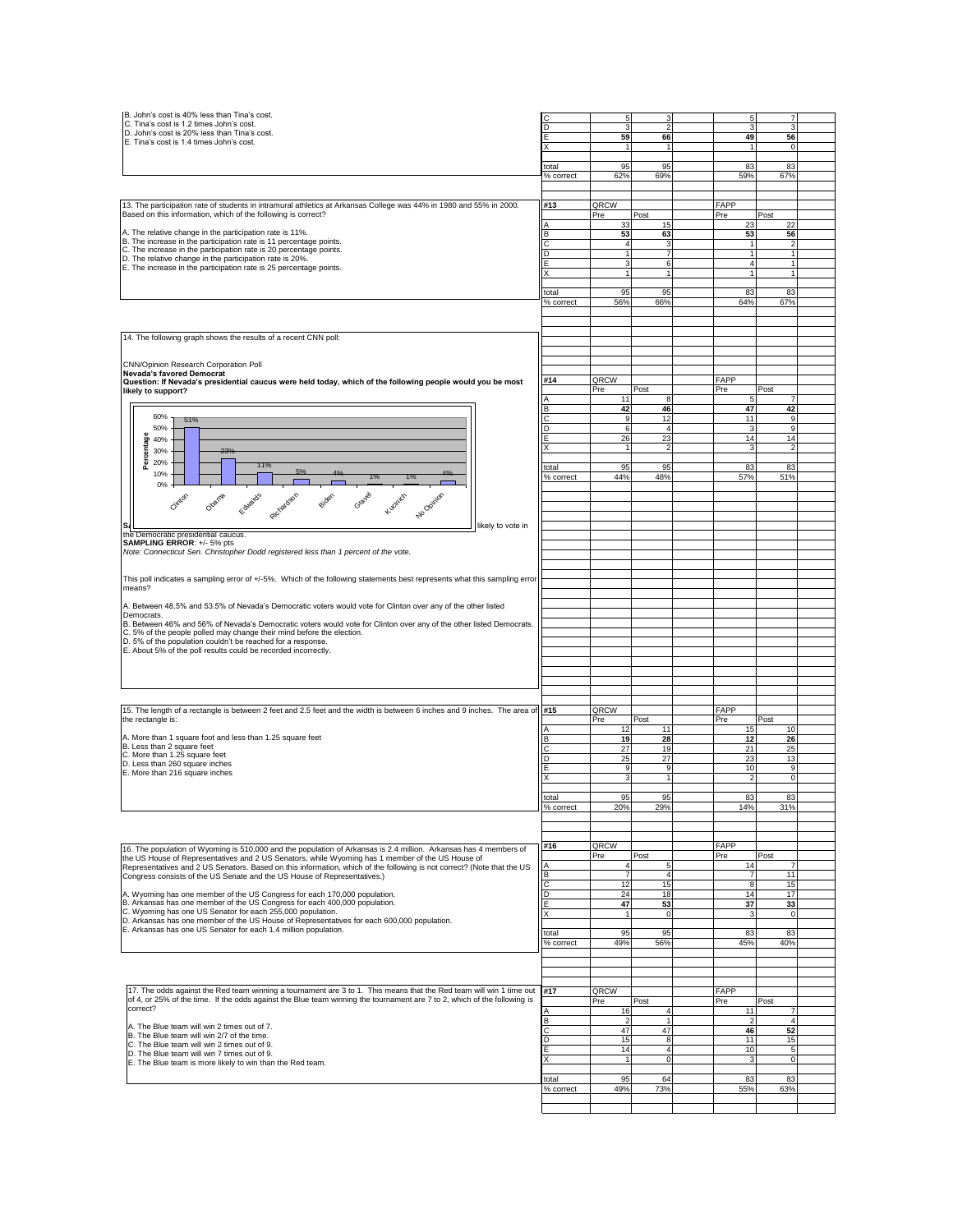| B. John's cost is 40% less than Tina's cost.                                                                                                             |                    |                    |                      |     | 5              |                          |  |
|----------------------------------------------------------------------------------------------------------------------------------------------------------|--------------------|--------------------|----------------------|-----|----------------|--------------------------|--|
| C. Tina's cost is 1.2 times John's cost.<br>D. John's cost is 20% less than Tina's cost.                                                                 |                    |                    | $\mathfrak{p}$       |     | 3              | 3                        |  |
| E. Tina's cost is 1.4 times John's cost.                                                                                                                 |                    | 59                 | 66                   |     | 49             | 56                       |  |
|                                                                                                                                                          |                    |                    | $\mathbf{1}$         |     | $\mathbf{1}$   | $\mathbf 0$              |  |
|                                                                                                                                                          |                    |                    |                      |     |                |                          |  |
|                                                                                                                                                          | total              | 95                 | 95                   |     | 83             | 83                       |  |
|                                                                                                                                                          | % correct          | 62%                | 69%                  |     | 59%            | 67%                      |  |
|                                                                                                                                                          |                    |                    |                      |     |                |                          |  |
| 13. The participation rate of students in intramural athletics at Arkansas College was 44% in 1980 and 55% in 2000.                                      | #13                | QRCW               |                      |     | FAPP           |                          |  |
| Based on this information, which of the following is correct?                                                                                            |                    | Pre                | Post                 | Pre |                | Post                     |  |
|                                                                                                                                                          |                    | 33                 | 15                   |     | 23             | 22                       |  |
| A. The relative change in the participation rate is 11%.                                                                                                 | B                  | 53                 | 63                   |     | 53             | 56                       |  |
| B. The increase in the participation rate is 11 percentage points.                                                                                       |                    | 4                  | 3                    |     | 1              | $\overline{\phantom{a}}$ |  |
| C. The increase in the participation rate is 20 percentage points.<br>D. The relative change in the participation rate is 20%.                           | D                  | 1                  | 7                    |     | $\overline{1}$ | $\mathbf{1}$             |  |
| E. The increase in the participation rate is 25 percentage points.                                                                                       |                    | 3                  | 6                    |     | $\overline{4}$ | 1                        |  |
|                                                                                                                                                          |                    |                    | 1                    |     |                | 1                        |  |
|                                                                                                                                                          |                    |                    |                      |     |                |                          |  |
|                                                                                                                                                          | total              | 95                 | 95                   |     | 83             | 83                       |  |
|                                                                                                                                                          | % correct          | 56%                | 66%                  |     | 64%            | 67%                      |  |
|                                                                                                                                                          |                    |                    |                      |     |                |                          |  |
|                                                                                                                                                          |                    |                    |                      |     |                |                          |  |
| 14. The following graph shows the results of a recent CNN poll:                                                                                          |                    |                    |                      |     |                |                          |  |
|                                                                                                                                                          |                    |                    |                      |     |                |                          |  |
|                                                                                                                                                          |                    |                    |                      |     |                |                          |  |
| CNN/Opinion Research Corporation Poll<br>Nevada's favored Democrat                                                                                       |                    |                    |                      |     |                |                          |  |
| Question: If Nevada's presidential caucus were held today, which of the following people would you be most                                               | #14                | QRCW               |                      |     | FAPP           |                          |  |
| likely to support?                                                                                                                                       |                    | Pre                | Post                 | Pre |                | Post                     |  |
|                                                                                                                                                          | A                  | 11                 | 8                    |     | 5              |                          |  |
|                                                                                                                                                          | B                  | 42                 | 46                   |     | 47             | 42                       |  |
| 60%<br>51%                                                                                                                                               | C                  | 9                  | 12                   |     | 11             | 9                        |  |
| 50%                                                                                                                                                      | D                  | 6                  | $\overline{4}$       |     | 3              | 9                        |  |
| 40%                                                                                                                                                      |                    | 26<br>$\mathbf{1}$ | 23<br>$\overline{2}$ |     | 14<br>3        | 14<br>$\overline{2}$     |  |
| 30%                                                                                                                                                      |                    |                    |                      |     |                |                          |  |
| Percentage<br>20%<br>11%                                                                                                                                 | total              | 95                 | 95                   |     | 83             | 83                       |  |
| 10%                                                                                                                                                      | % correct          | 44%                | 48%                  |     | 57%            | 51%                      |  |
| 0%                                                                                                                                                       |                    |                    |                      |     |                |                          |  |
| Biden<br>Gravel<br>Edwards<br>Olgania<br>Kuonich<br>No Opinion                                                                                           |                    |                    |                      |     |                |                          |  |
| Circler                                                                                                                                                  |                    |                    |                      |     |                |                          |  |
|                                                                                                                                                          |                    |                    |                      |     |                |                          |  |
| likely to vote in                                                                                                                                        |                    |                    |                      |     |                |                          |  |
| the Democratic presidential caucus.                                                                                                                      |                    |                    |                      |     |                |                          |  |
| SAMPLING ERROR: +/- 5% pts<br>Note: Connecticut Sen. Christopher Dodd registered less than 1 percent of the vote.                                        |                    |                    |                      |     |                |                          |  |
|                                                                                                                                                          |                    |                    |                      |     |                |                          |  |
|                                                                                                                                                          |                    |                    |                      |     |                |                          |  |
| This poll indicates a sampling error of +/-5%. Which of the following statements best represents what this sampling error                                |                    |                    |                      |     |                |                          |  |
| means?                                                                                                                                                   |                    |                    |                      |     |                |                          |  |
|                                                                                                                                                          |                    |                    |                      |     |                |                          |  |
| A. Between 48.5% and 53.5% of Nevada's Democratic voters would vote for Clinton over any of the other listed<br>Democrats.                               |                    |                    |                      |     |                |                          |  |
| B. Between 46% and 56% of Nevada's Democratic voters would vote for Clinton over any of the other listed Democrats.                                      |                    |                    |                      |     |                |                          |  |
| C. 5% of the people polled may change their mind before the election.                                                                                    |                    |                    |                      |     |                |                          |  |
| D. 5% of the population couldn't be reached for a response.                                                                                              |                    |                    |                      |     |                |                          |  |
| E. About 5% of the poll results could be recorded incorrectly.                                                                                           |                    |                    |                      |     |                |                          |  |
|                                                                                                                                                          |                    |                    |                      |     |                |                          |  |
|                                                                                                                                                          |                    |                    |                      |     |                |                          |  |
|                                                                                                                                                          |                    |                    |                      |     |                |                          |  |
|                                                                                                                                                          |                    |                    |                      |     |                |                          |  |
| 15. The length of a rectangle is between 2 feet and 2.5 feet and the width is between 6 inches and 9 inches. The area of                                 | #15                | QRCW               |                      |     | FAPP           |                          |  |
| the rectangle is:                                                                                                                                        |                    | Pre                | Post                 | Pre |                | Post                     |  |
|                                                                                                                                                          |                    | 12                 | 11                   |     | 15             | 10                       |  |
| A. More than 1 square foot and less than 1.25 square feet                                                                                                | в                  | 19                 | 28                   |     | 12             | 26                       |  |
| B. Less than 2 square feet                                                                                                                               |                    | 27                 | 19                   |     | 21             | 25                       |  |
| C. More than 1.25 square feet                                                                                                                            |                    | 25                 | 27                   |     | 23             | 13                       |  |
| D. Less than 260 square inches<br>E. More than 216 square inches                                                                                         |                    | 9                  | 9                    |     | 10             | 9                        |  |
|                                                                                                                                                          |                    | 3                  | $\mathbf{1}$         |     | $\overline{2}$ | $\circ$                  |  |
|                                                                                                                                                          |                    |                    |                      |     |                |                          |  |
|                                                                                                                                                          | total<br>% correct | 95<br>20%          | 95<br>29%            |     | 83<br>14%      | 83<br>31%                |  |
|                                                                                                                                                          |                    |                    |                      |     |                |                          |  |
|                                                                                                                                                          |                    |                    |                      |     |                |                          |  |
|                                                                                                                                                          |                    |                    |                      |     |                |                          |  |
| 16. The population of Wyoming is 510,000 and the population of Arkansas is 2.4 million. Arkansas has 4 members of                                        | #16                | QRCW               |                      |     | FAPP           |                          |  |
| the US House of Representatives and 2 US Senators, while Wyoming has 1 member of the US House of                                                         |                    | Pre                | Post                 | Pre |                | Post                     |  |
| Representatives and 2 US Senators. Based on this information, which of the following is not correct? (Note that the US                                   | А                  |                    | 5                    |     | 14             | $\overline{7}$           |  |
| Congress consists of the US Senate and the US House of Representatives.)                                                                                 | B                  | 7                  | 4                    |     | $\overline{7}$ | 11                       |  |
|                                                                                                                                                          | C                  | 12                 | 15                   |     | 8              | 15                       |  |
| A. Wyoming has one member of the US Congress for each 170,000 population.<br>B. Arkansas has one member of the US Congress for each 400,000 population.  | D                  | 24<br>47           | 18<br>53             |     | 14<br>37       | 17<br>33                 |  |
|                                                                                                                                                          |                    |                    |                      |     | 3              | $\mathbf 0$              |  |
|                                                                                                                                                          | Е                  |                    |                      |     |                |                          |  |
| C. Wyoming has one US Senator for each 255,000 population.<br>D. Arkansas has one member of the US House of Representatives for each 600,000 population. | X                  | $\mathbf{1}$       | $\mathbf 0$          |     |                |                          |  |
| E. Arkansas has one US Senator for each 1.4 million population.                                                                                          |                    |                    |                      |     | 83             | 83                       |  |
|                                                                                                                                                          | total<br>% correct | 95<br>49%          | 95<br>56%            |     | 45%            | 40%                      |  |
|                                                                                                                                                          |                    |                    |                      |     |                |                          |  |
|                                                                                                                                                          |                    |                    |                      |     |                |                          |  |
|                                                                                                                                                          |                    |                    |                      |     |                |                          |  |
|                                                                                                                                                          |                    |                    |                      |     |                |                          |  |
| 17. The odds against the Red team winning a tournament are 3 to 1. This means that the Red team will win 1 time out                                      | #17                | QRCW               |                      |     | FAPP           |                          |  |
| of 4, or 25% of the time. If the odds against the Blue team winning the tournament are 7 to 2, which of the following is                                 |                    | Pre                | Post                 | Pre |                | Post                     |  |
| correct?                                                                                                                                                 |                    | 16                 | $\overline{4}$       |     | 11             | $\overline{7}$           |  |
| A. The Blue team will win 2 times out of 7.                                                                                                              |                    | $\overline{2}$     | $\mathbf{1}$         |     | $\overline{2}$ | $\overline{4}$           |  |
| B. The Blue team will win 2/7 of the time.                                                                                                               |                    | 47                 | 47                   |     | 46             | 52                       |  |
| C. The Blue team will win 2 times out of 9.                                                                                                              |                    | 15                 | 8<br>$\overline{4}$  |     | 11             | 15                       |  |
| D. The Blue team will win 7 times out of 9.                                                                                                              |                    | 14<br>1            | $\mathbf 0$          |     | 10<br>3        | 5<br>$\mathbf 0$         |  |
| E. The Blue team is more likely to win than the Red team.                                                                                                |                    |                    |                      |     |                |                          |  |
|                                                                                                                                                          | total              | 95                 | 64                   |     | 83             | 83                       |  |
|                                                                                                                                                          | % correct          | 49%                | 73%                  |     | 55%            | 63%                      |  |